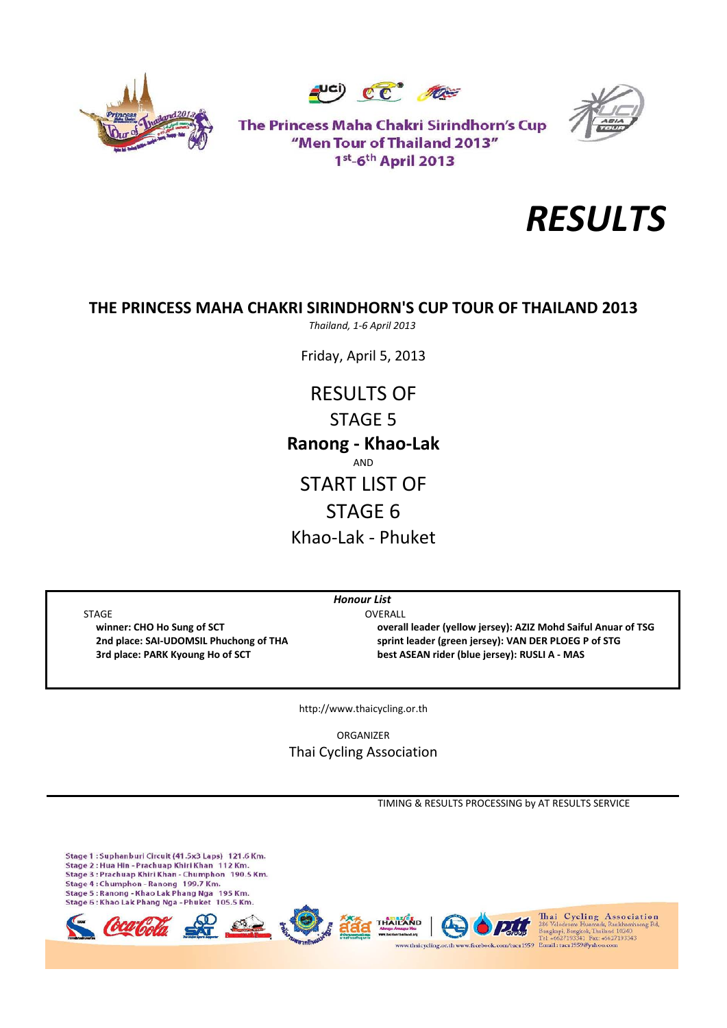





The Princess Maha Chakri Sirindhorn's Cup "Men Tour of Thailand 2013" 1st-6th April 2013



# **THE PRINCESS MAHA CHAKRI SIRINDHORN'S CUP TOUR OF THAILAND 2013**

*Thailand, 1‐6 April 2013*

Friday, April 5, 2013

RESULTS OF STAGE 5 Khao‐Lak ‐ Phuket **Ranong ‐ Khao‐Lak** AND START LIST OF STAGE 6

STAGE OVERALL

 **winner: CHO Ho Sung of SCT overall leader (yellow jersey): AZIZ Mohd Saiful Anuar of TSG** 2nd place: SAI-UDOMSIL Phuchong of THA sprint leader (green jersey): VAN DER PLOEG P of STG  **3rd place: PARK Kyoung Ho of SCT best ASEAN rider (blue jersey): RUSLI A ‐ MAS**

http://www.thaicycling.or.th

*Honour List*

ORGANIZER Thai Cycling Association

TIMING & RESULTS PROCESSING by AT RESULTS SERVICE

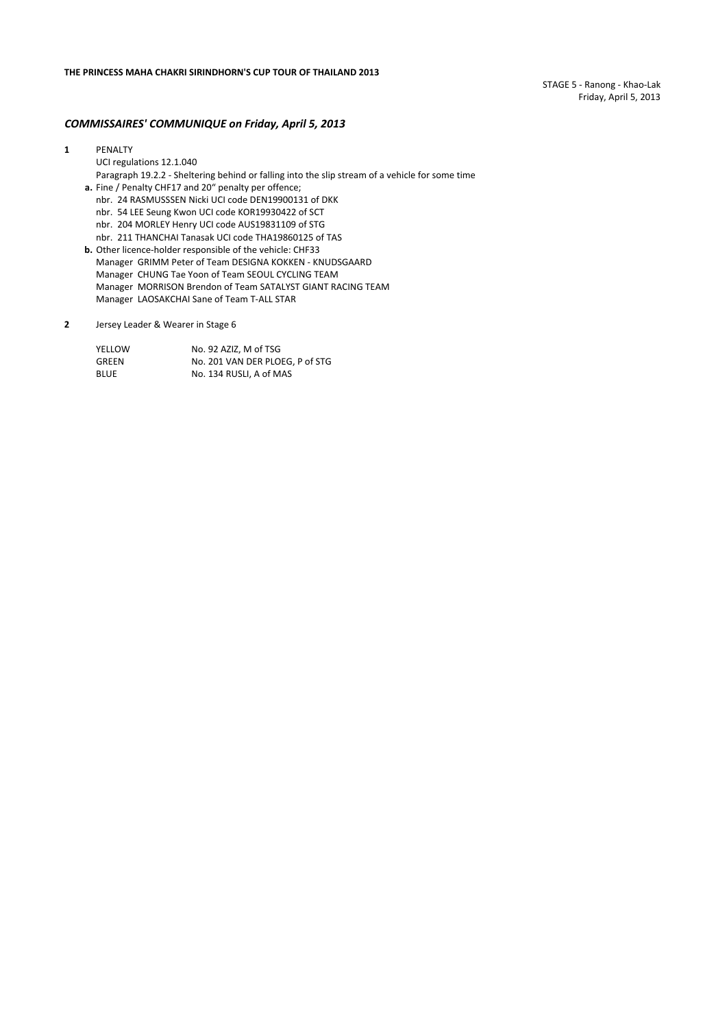STAGE 5 ‐ Ranong ‐ Khao‐Lak Friday, April 5, 2013

#### *COMMISSAIRES' COMMUNIQUE on Friday, April 5, 2013*

#### **1** PENALTY

UCI regulations 12.1.040

Paragraph 19.2.2 ‐ Sheltering behind or falling into the slip stream of a vehicle for some time **a.** Fine / Penalty CHF17 and 20" penalty per offence;

- nbr. 24 RASMUSSSEN Nicki UCI code DEN19900131 of DKK
- nbr. 54 LEE Seung Kwon UCI code KOR19930422 of SCT
- nbr. 204 MORLEY Henry UCI code AUS19831109 of STG
- nbr. 211 THANCHAI Tanasak UCI code THA19860125 of TAS
- **b.** Other licence‐holder responsible of the vehicle: CHF33 Manager GRIMM Peter of Team DESIGNA KOKKEN ‐ KNUDSGAARD Manager CHUNG Tae Yoon of Team SEOUL CYCLING TEAM Manager MORRISON Brendon of Team SATALYST GIANT RACING TEAM Manager LAOSAKCHAI Sane of Team T‐ALL STAR
- **2** Jersey Leader & Wearer in Stage 6

| YELLOW | No. 92 AZIZ. M of TSG           |
|--------|---------------------------------|
| GREEN  | No. 201 VAN DER PLOEG, P of STG |
| BLUE   | No. 134 RUSLI. A of MAS         |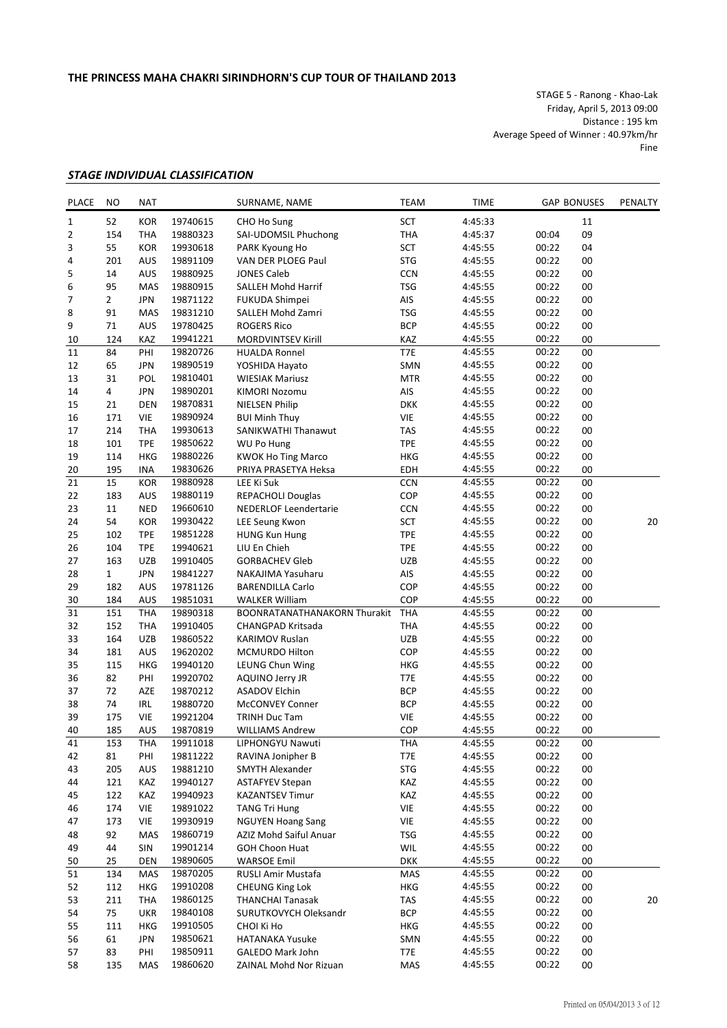STAGE 5 ‐ Ranong ‐ Khao‐Lak Friday, April 5, 2013 09:00 Distance : 195 km Average Speed of Winner : 40.97km/hr Fine

## *STAGE INDIVIDUAL CLASSIFICATION*

| PLACE           | NO             | <b>NAT</b> |          | SURNAME, NAME                       | <b>TEAM</b> | <b>TIME</b> |       | <b>GAP BONUSES</b> | PENALTY |
|-----------------|----------------|------------|----------|-------------------------------------|-------------|-------------|-------|--------------------|---------|
| 1               | 52             | <b>KOR</b> | 19740615 | CHO Ho Sung                         | SCT         | 4:45:33     |       | 11                 |         |
| 2               | 154            | <b>THA</b> | 19880323 | SAI-UDOMSIL Phuchong                | THA         | 4:45:37     | 00:04 | 09                 |         |
| 3               | 55             | <b>KOR</b> | 19930618 | PARK Kyoung Ho                      | SCT         | 4:45:55     | 00:22 | 04                 |         |
| 4               | 201            | AUS        | 19891109 | VAN DER PLOEG Paul                  | <b>STG</b>  | 4:45:55     | 00:22 | 00                 |         |
| 5               | 14             | AUS        | 19880925 | <b>JONES Caleb</b>                  | CCN         | 4:45:55     | 00:22 | 00                 |         |
| 6               | 95             | MAS        | 19880915 | SALLEH Mohd Harrif                  | <b>TSG</b>  | 4:45:55     | 00:22 | 00                 |         |
| 7               | $\overline{2}$ | <b>JPN</b> | 19871122 | <b>FUKUDA Shimpei</b>               | AIS         | 4:45:55     | 00:22 | 00                 |         |
| 8               | 91             | MAS        | 19831210 | SALLEH Mohd Zamri                   | <b>TSG</b>  | 4:45:55     | 00:22 | 00                 |         |
| 9               | 71             | AUS        | 19780425 | <b>ROGERS Rico</b>                  | <b>BCP</b>  | 4:45:55     | 00:22 | 00                 |         |
|                 | 124            | <b>KAZ</b> | 19941221 | MORDVINTSEV Kirill                  | KAZ         | 4:45:55     | 00:22 | 00                 |         |
| 10<br>11        | 84             | PHI        | 19820726 | <b>HUALDA Ronnel</b>                | T7E         | 4:45:55     | 00:22 | 00                 |         |
|                 |                |            | 19890519 |                                     |             |             | 00:22 |                    |         |
| 12              | 65             | <b>JPN</b> |          | YOSHIDA Hayato                      | SMN         | 4:45:55     |       | 00                 |         |
| 13              | 31             | <b>POL</b> | 19810401 | <b>WIESIAK Mariusz</b>              | <b>MTR</b>  | 4:45:55     | 00:22 | 00                 |         |
| 14              | $\overline{4}$ | <b>JPN</b> | 19890201 | KIMORI Nozomu                       | AIS         | 4:45:55     | 00:22 | 00                 |         |
| 15              | 21             | <b>DEN</b> | 19870831 | <b>NIELSEN Philip</b>               | <b>DKK</b>  | 4:45:55     | 00:22 | 00                 |         |
| 16              | 171            | <b>VIE</b> | 19890924 | <b>BUI Minh Thuy</b>                | <b>VIE</b>  | 4:45:55     | 00:22 | 00                 |         |
| 17              | 214            | <b>THA</b> | 19930613 | SANIKWATHI Thanawut                 | <b>TAS</b>  | 4:45:55     | 00:22 | 00                 |         |
| 18              | 101            | <b>TPE</b> | 19850622 | WU Po Hung                          | <b>TPE</b>  | 4:45:55     | 00:22 | 00                 |         |
| 19              | 114            | <b>HKG</b> | 19880226 | <b>KWOK Ho Ting Marco</b>           | <b>HKG</b>  | 4:45:55     | 00:22 | 00                 |         |
| 20              | 195            | <b>INA</b> | 19830626 | PRIYA PRASETYA Heksa                | EDH         | 4:45:55     | 00:22 | 00                 |         |
| 21              | 15             | <b>KOR</b> | 19880928 | LEE Ki Suk                          | CCN         | 4:45:55     | 00:22 | 00                 |         |
| 22              | 183            | AUS        | 19880119 | <b>REPACHOLI Douglas</b>            | COP         | 4:45:55     | 00:22 | 00                 |         |
| 23              | 11             | <b>NED</b> | 19660610 | NEDERLOF Leendertarie               | <b>CCN</b>  | 4:45:55     | 00:22 | 00                 |         |
| 24              | 54             | <b>KOR</b> | 19930422 | LEE Seung Kwon                      | SCT         | 4:45:55     | 00:22 | 00                 | 20      |
| 25              | 102            | <b>TPE</b> | 19851228 | <b>HUNG Kun Hung</b>                | <b>TPE</b>  | 4:45:55     | 00:22 | 00                 |         |
| 26              | 104            | <b>TPE</b> | 19940621 | LIU En Chieh                        | <b>TPE</b>  | 4:45:55     | 00:22 | 00                 |         |
| 27              | 163            | <b>UZB</b> | 19910405 | <b>GORBACHEV Gleb</b>               | UZB         | 4:45:55     | 00:22 | 00                 |         |
| 28              | $\mathbf{1}$   | <b>JPN</b> | 19841227 | NAKAJIMA Yasuharu                   | AIS         | 4:45:55     | 00:22 | 00                 |         |
| 29              | 182            | AUS        | 19781126 | <b>BARENDILLA Carlo</b>             | COP         | 4:45:55     | 00:22 | 00                 |         |
|                 |                |            |          |                                     | COP         |             |       |                    |         |
| 30              | 184            | AUS        | 19851031 | <b>WALKER William</b>               |             | 4:45:55     | 00:22 | 00                 |         |
| $\overline{31}$ | 151            | <b>THA</b> | 19890318 | <b>BOONRATANATHANAKORN Thurakit</b> | <b>THA</b>  | 4:45:55     | 00:22 | 00                 |         |
| 32              | 152            | <b>THA</b> | 19910405 | CHANGPAD Kritsada                   | <b>THA</b>  | 4:45:55     | 00:22 | 00                 |         |
| 33              | 164            | <b>UZB</b> | 19860522 | <b>KARIMOV Ruslan</b>               | UZB         | 4:45:55     | 00:22 | 00                 |         |
| 34              | 181            | AUS        | 19620202 | MCMURDO Hilton                      | COP         | 4:45:55     | 00:22 | 00                 |         |
| 35              | 115            | <b>HKG</b> | 19940120 | LEUNG Chun Wing                     | <b>HKG</b>  | 4:45:55     | 00:22 | 00                 |         |
| 36              | 82             | PHI        | 19920702 | AQUINO Jerry JR                     | T7E         | 4:45:55     | 00:22 | 00                 |         |
| 37              | 72             | AZE        | 19870212 | <b>ASADOV Elchin</b>                | <b>BCP</b>  | 4:45:55     | 00:22 | 00                 |         |
| 38              | 74             | <b>IRL</b> | 19880720 | <b>McCONVEY Conner</b>              | <b>BCP</b>  | 4:45:55     | 00:22 | 00                 |         |
| 39              | 175            | <b>VIE</b> | 19921204 | TRINH Duc Tam                       | <b>VIE</b>  | 4:45:55     | 00:22 | 00                 |         |
| 40              | 185            | AUS        | 19870819 | <b>WILLIAMS Andrew</b>              | COP         | 4:45:55     | 00:22 | 00                 |         |
| 41              | 153            | THA        | 19911018 | LIPHONGYU Nawuti                    | THA         | 4:45:55     | 00:22 | 00                 |         |
| 42              | 81             | PHI        | 19811222 | RAVINA Jonipher B                   | T7E         | 4:45:55     | 00:22 | 00                 |         |
| 43              | 205            | AUS        | 19881210 | SMYTH Alexander                     | STG         | 4:45:55     | 00:22 | 00                 |         |
| 44              | 121            | KAZ        | 19940127 | <b>ASTAFYEV Stepan</b>              | KAZ         | 4:45:55     | 00:22 | 00                 |         |
| 45              | 122            | KAZ        | 19940923 | <b>KAZANTSEV Timur</b>              | KAZ         | 4:45:55     | 00:22 | 00                 |         |
| 46              | 174            | VIE        | 19891022 | <b>TANG Tri Hung</b>                | VIE         | 4:45:55     | 00:22 | 00                 |         |
| 47              | 173            | VIE        | 19930919 | <b>NGUYEN Hoang Sang</b>            |             | 4:45:55     | 00:22 |                    |         |
|                 |                |            |          |                                     | VIE         |             |       | 00                 |         |
| 48              | 92             | MAS        | 19860719 | AZIZ Mohd Saiful Anuar              | <b>TSG</b>  | 4:45:55     | 00:22 | 00                 |         |
| 49              | 44             | SIN        | 19901214 | <b>GOH Choon Huat</b>               | WIL         | 4:45:55     | 00:22 | 00                 |         |
| 50              | 25             | DEN        | 19890605 | <b>WARSOE Emil</b>                  | <b>DKK</b>  | 4:45:55     | 00:22 | 00                 |         |
| 51              | 134            | MAS        | 19870205 | RUSLI Amir Mustafa                  | MAS         | 4:45:55     | 00:22 | 00                 |         |
| 52              | 112            | <b>HKG</b> | 19910208 | <b>CHEUNG King Lok</b>              | HKG         | 4:45:55     | 00:22 | 00                 |         |
| 53              | 211            | <b>THA</b> | 19860125 | <b>THANCHAI Tanasak</b>             | TAS         | 4:45:55     | 00:22 | 00                 | 20      |
| 54              | 75             | <b>UKR</b> | 19840108 | SURUTKOVYCH Oleksandr               | <b>BCP</b>  | 4:45:55     | 00:22 | 00                 |         |
| 55              | 111            | HKG        | 19910505 | CHOI Ki Ho                          | HKG         | 4:45:55     | 00:22 | 00                 |         |
| 56              | 61             | <b>JPN</b> | 19850621 | <b>HATANAKA Yusuke</b>              | SMN         | 4:45:55     | 00:22 | 00                 |         |
| 57              | 83             | PHI        | 19850911 | GALEDO Mark John                    | T7E         | 4:45:55     | 00:22 | 00                 |         |
| 58              | 135            | MAS        | 19860620 | ZAINAL Mohd Nor Rizuan              | MAS         | 4:45:55     | 00:22 | 00                 |         |
|                 |                |            |          |                                     |             |             |       |                    |         |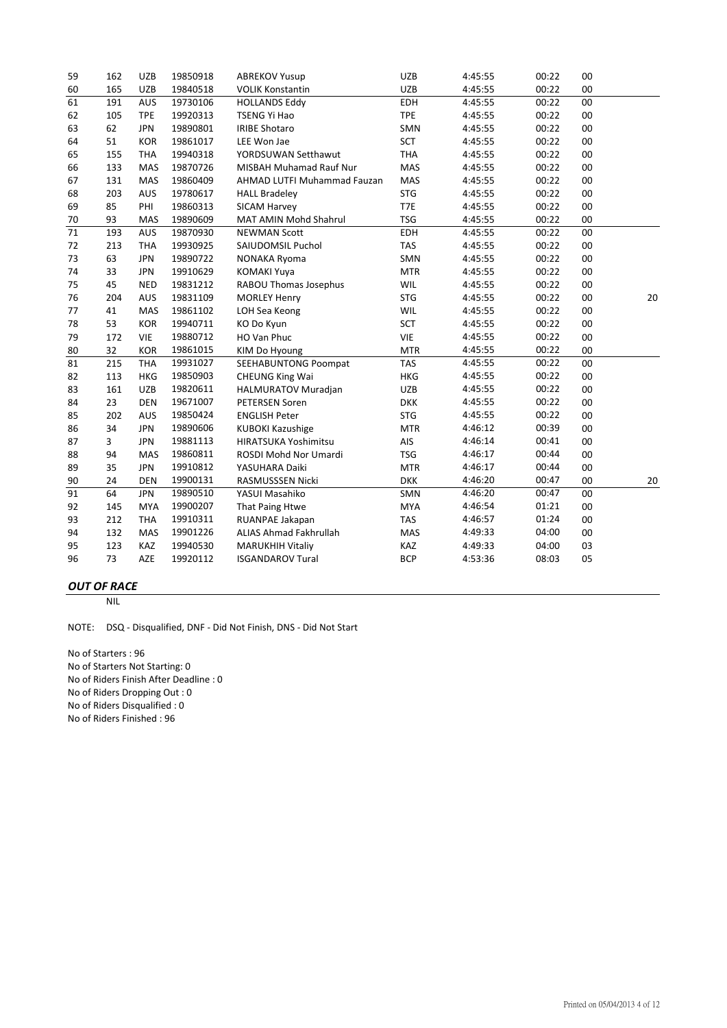| 59 | 162 | <b>UZB</b> | 19850918 | <b>ABREKOV Yusup</b>           | <b>UZB</b> | 4:45:55 | 00:22 | 00 |        |
|----|-----|------------|----------|--------------------------------|------------|---------|-------|----|--------|
| 60 | 165 | <b>UZB</b> | 19840518 | <b>VOLIK Konstantin</b>        | <b>UZB</b> | 4:45:55 | 00:22 | 00 |        |
| 61 | 191 | AUS        | 19730106 | <b>HOLLANDS Eddy</b>           | EDH        | 4:45:55 | 00:22 | 00 |        |
| 62 | 105 | <b>TPE</b> | 19920313 | <b>TSENG Yi Hao</b>            | <b>TPE</b> | 4:45:55 | 00:22 | 00 |        |
| 63 | 62  | <b>JPN</b> | 19890801 | <b>IRIBE Shotaro</b>           | SMN        | 4:45:55 | 00:22 | 00 |        |
| 64 | 51  | <b>KOR</b> | 19861017 | LEE Won Jae                    | SCT        | 4:45:55 | 00:22 | 00 |        |
| 65 | 155 | <b>THA</b> | 19940318 | YORDSUWAN Setthawut            | <b>THA</b> | 4:45:55 | 00:22 | 00 |        |
| 66 | 133 | <b>MAS</b> | 19870726 | <b>MISBAH Muhamad Rauf Nur</b> | MAS        | 4:45:55 | 00:22 | 00 |        |
| 67 | 131 | <b>MAS</b> | 19860409 | AHMAD LUTFI Muhammad Fauzan    | MAS        | 4:45:55 | 00:22 | 00 |        |
| 68 | 203 | <b>AUS</b> | 19780617 | <b>HALL Bradeley</b>           | <b>STG</b> | 4:45:55 | 00:22 | 00 |        |
| 69 | 85  | PHI        | 19860313 | <b>SICAM Harvey</b>            | T7E        | 4:45:55 | 00:22 | 00 |        |
| 70 | 93  | MAS        | 19890609 | MAT AMIN Mohd Shahrul          | <b>TSG</b> | 4:45:55 | 00:22 | 00 |        |
| 71 | 193 | AUS        | 19870930 | <b>NEWMAN Scott</b>            | EDH        | 4:45:55 | 00:22 | 00 |        |
| 72 | 213 | <b>THA</b> | 19930925 | SAIUDOMSIL Puchol              | <b>TAS</b> | 4:45:55 | 00:22 | 00 |        |
| 73 | 63  | <b>JPN</b> | 19890722 | NONAKA Ryoma                   | SMN        | 4:45:55 | 00:22 | 00 |        |
| 74 | 33  | <b>JPN</b> | 19910629 | <b>KOMAKI Yuya</b>             | <b>MTR</b> | 4:45:55 | 00:22 | 00 |        |
| 75 | 45  | <b>NED</b> | 19831212 | RABOU Thomas Josephus          | WIL        | 4:45:55 | 00:22 | 00 |        |
| 76 | 204 | AUS        | 19831109 | <b>MORLEY Henry</b>            | <b>STG</b> | 4:45:55 | 00:22 | 00 | 20     |
| 77 | 41  | <b>MAS</b> | 19861102 | LOH Sea Keong                  | WIL        | 4:45:55 | 00:22 | 00 |        |
| 78 | 53  | <b>KOR</b> | 19940711 | KO Do Kyun                     | SCT        | 4:45:55 | 00:22 | 00 |        |
| 79 | 172 | <b>VIE</b> | 19880712 | HO Van Phuc                    | <b>VIE</b> | 4:45:55 | 00:22 | 00 |        |
| 80 | 32  | <b>KOR</b> | 19861015 | KIM Do Hyoung                  | <b>MTR</b> | 4:45:55 | 00:22 | 00 |        |
| 81 | 215 | <b>THA</b> | 19931027 | SEEHABUNTONG Poompat           | <b>TAS</b> | 4:45:55 | 00:22 | 00 |        |
| 82 | 113 | <b>HKG</b> | 19850903 | <b>CHEUNG King Wai</b>         | <b>HKG</b> | 4:45:55 | 00:22 | 00 |        |
| 83 | 161 | <b>UZB</b> | 19820611 | HALMURATOV Muradjan            | <b>UZB</b> | 4:45:55 | 00:22 | 00 |        |
| 84 | 23  | <b>DEN</b> | 19671007 | PETERSEN Soren                 | <b>DKK</b> | 4:45:55 | 00:22 | 00 |        |
| 85 | 202 | <b>AUS</b> | 19850424 | <b>ENGLISH Peter</b>           | <b>STG</b> | 4:45:55 | 00:22 | 00 |        |
| 86 | 34  | <b>JPN</b> | 19890606 | <b>KUBOKI Kazushige</b>        | <b>MTR</b> | 4:46:12 | 00:39 | 00 |        |
| 87 | 3   | <b>JPN</b> | 19881113 | <b>HIRATSUKA Yoshimitsu</b>    | AIS        | 4:46:14 | 00:41 | 00 |        |
| 88 | 94  | <b>MAS</b> | 19860811 | ROSDI Mohd Nor Umardi          | <b>TSG</b> | 4:46:17 | 00:44 | 00 |        |
| 89 | 35  | <b>JPN</b> | 19910812 | YASUHARA Daiki                 | <b>MTR</b> | 4:46:17 | 00:44 | 00 |        |
| 90 | 24  | <b>DEN</b> | 19900131 | RASMUSSSEN Nicki               | <b>DKK</b> | 4:46:20 | 00:47 | 00 | $20\,$ |
| 91 | 64  | <b>JPN</b> | 19890510 | YASUI Masahiko                 | SMN        | 4:46:20 | 00:47 | 00 |        |
| 92 | 145 | <b>MYA</b> | 19900207 | That Paing Htwe                | <b>MYA</b> | 4:46:54 | 01:21 | 00 |        |
| 93 | 212 | <b>THA</b> | 19910311 | RUANPAE Jakapan                | <b>TAS</b> | 4:46:57 | 01:24 | 00 |        |
| 94 | 132 | <b>MAS</b> | 19901226 | ALIAS Ahmad Fakhrullah         | <b>MAS</b> | 4:49:33 | 04:00 | 00 |        |
| 95 | 123 | KAZ        | 19940530 | <b>MARUKHIH Vitaliy</b>        | KAZ        | 4:49:33 | 04:00 | 03 |        |
| 96 | 73  | AZE        | 19920112 | <b>ISGANDAROV Tural</b>        | <b>BCP</b> | 4:53:36 | 08:03 | 05 |        |
|    |     |            |          |                                |            |         |       |    |        |

# *OUT OF RACE*

NIL

NOTE: DSQ ‐ Disqualified, DNF ‐ Did Not Finish, DNS ‐ Did Not Start

No of Starters : 96 No of Starters Not Starting: 0 No of Riders Finish After Deadline : 0 No of Riders Dropping Out : 0 No of Riders Disqualified : 0 No of Riders Finished : 96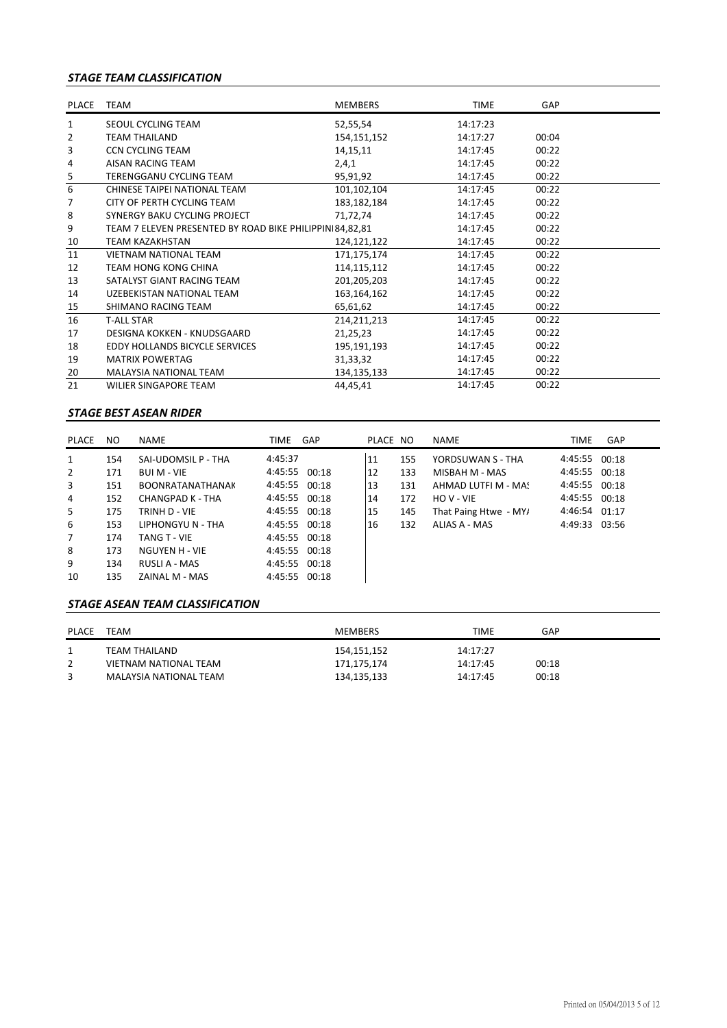# *STAGE TEAM CLASSIFICATION*

| PLACE                   | TEAM                                                    | <b>MEMBERS</b> | <b>TIME</b> | GAP   |  |
|-------------------------|---------------------------------------------------------|----------------|-------------|-------|--|
| $\mathbf{1}$            | SEOUL CYCLING TEAM                                      | 52,55,54       | 14:17:23    |       |  |
| 2                       | <b>TEAM THAILAND</b>                                    | 154,151,152    | 14:17:27    | 00:04 |  |
| 3                       | <b>CCN CYCLING TEAM</b>                                 | 14, 15, 11     | 14:17:45    | 00:22 |  |
| 4                       | AISAN RACING TEAM                                       | 2,4,1          | 14:17:45    | 00:22 |  |
| $\overline{\mathbf{5}}$ | <b>TERENGGANU CYCLING TEAM</b>                          | 95,91,92       | 14:17:45    | 00:22 |  |
| 6                       | CHINESE TAIPEI NATIONAL TEAM                            | 101,102,104    | 14:17:45    | 00:22 |  |
| 7                       | CITY OF PERTH CYCLING TEAM                              | 183, 182, 184  | 14:17:45    | 00:22 |  |
| 8                       | SYNERGY BAKU CYCLING PROJECT                            | 71,72,74       | 14:17:45    | 00:22 |  |
| 9                       | TEAM 7 ELEVEN PRESENTED BY ROAD BIKE PHILIPPIN 84,82,81 |                | 14:17:45    | 00:22 |  |
| 10                      | <b>TEAM KAZAKHSTAN</b>                                  | 124,121,122    | 14:17:45    | 00:22 |  |
| 11                      | <b>VIETNAM NATIONAL TEAM</b>                            | 171,175,174    | 14:17:45    | 00:22 |  |
| 12                      | <b>TEAM HONG KONG CHINA</b>                             | 114,115,112    | 14:17:45    | 00:22 |  |
| 13                      | SATALYST GIANT RACING TEAM                              | 201,205,203    | 14:17:45    | 00:22 |  |
| 14                      | UZEBEKISTAN NATIONAL TEAM                               | 163,164,162    | 14:17:45    | 00:22 |  |
| 15                      | SHIMANO RACING TEAM                                     | 65,61,62       | 14:17:45    | 00:22 |  |
| 16                      | <b>T-ALL STAR</b>                                       | 214,211,213    | 14:17:45    | 00:22 |  |
| 17                      | DESIGNA KOKKEN - KNUDSGAARD                             | 21,25,23       | 14:17:45    | 00:22 |  |
| 18                      | EDDY HOLLANDS BICYCLE SERVICES                          | 195,191,193    | 14:17:45    | 00:22 |  |
| 19                      | <b>MATRIX POWERTAG</b>                                  | 31,33,32       | 14:17:45    | 00:22 |  |
| 20                      | <b>MALAYSIA NATIONAL TEAM</b>                           | 134,135,133    | 14:17:45    | 00:22 |  |
| 21                      | <b>WILIER SINGAPORE TEAM</b>                            | 44,45,41       | 14:17:45    | 00:22 |  |

#### *STAGE BEST ASEAN RIDER*

| PLACE          | <b>NO</b> | <b>NAME</b>             | TIME GAP      | PLACE NO |     | NAME                  | TIME          | GAP |
|----------------|-----------|-------------------------|---------------|----------|-----|-----------------------|---------------|-----|
| $\mathbf{1}$   | 154       | SAI-UDOMSIL P - THA     | 4:45:37       | 11       | 155 | YORDSUWAN S - THA     | 4:45:55 00:18 |     |
| 2              | 171       | <b>BUI M - VIE</b>      | 4:45:55 00:18 | 12       | 133 | MISBAH M - MAS        | 4:45:55 00:18 |     |
| 3              | 151       | <b>BOONRATANATHANAK</b> | 4:45:55 00:18 | 13       | 131 | AHMAD LUTFI M - MAS   | 4:45:55 00:18 |     |
| 4              | 152       | CHANGPAD K - THA        | 4:45:55 00:18 | 14       | 172 | HO V - VIE            | 4:45:55 00:18 |     |
| 5              | 175       | TRINH D - VIE           | 4:45:55 00:18 | 15       | 145 | That Paing Htwe - MY/ | 4:46:54 01:17 |     |
| 6              | 153       | LIPHONGYU N - THA       | 4:45:55 00:18 | 16       | 132 | ALIAS A - MAS         | 4:49:33 03:56 |     |
| $\overline{7}$ | 174       | TANG T - VIE            | 4:45:55 00:18 |          |     |                       |               |     |
| 8              | 173       | NGUYEN H - VIE          | 4:45:55 00:18 |          |     |                       |               |     |
| 9              | 134       | RUSLI A - MAS           | 4:45:55 00:18 |          |     |                       |               |     |
| 10             | 135       | ZAINAL M - MAS          | 4:45:55 00:18 |          |     |                       |               |     |

#### *STAGE ASEAN TEAM CLASSIFICATION*

| <b>PLACE</b> | TEAM                   | <b>MEMBERS</b> | <b>TIME</b> | GAP   |  |
|--------------|------------------------|----------------|-------------|-------|--|
|              | TEAM THAILAND          | 154,151,152    | 14:17:27    |       |  |
|              | VIETNAM NATIONAL TEAM  | 171,175,174    | 14:17:45    | 00:18 |  |
|              | MALAYSIA NATIONAL TEAM | 134,135,133    | 14:17:45    | 00:18 |  |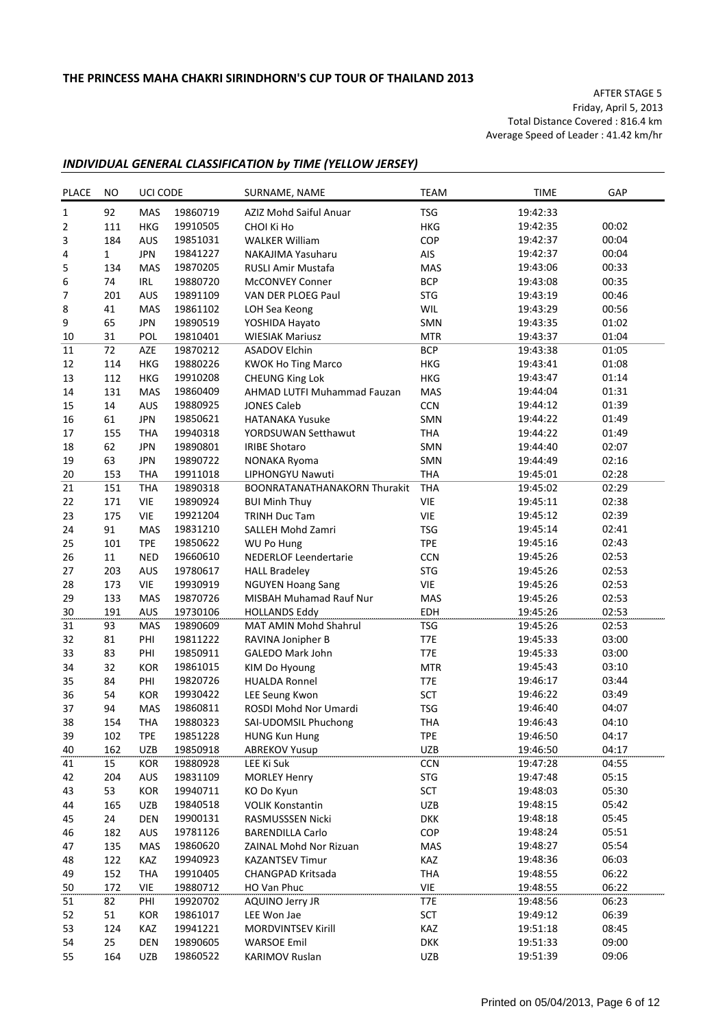AFTER STAGE 5 Friday, April 5, 2013 Total Distance Covered : 816.4 km Average Speed of Leader : 41.42 km/hr

## *INDIVIDUAL GENERAL CLASSIFICATION by TIME (YELLOW JERSEY)*

| <b>PLACE</b>     | NO  | UCI CODE   |          | SURNAME, NAME                       | <b>TEAM</b> | <b>TIME</b> | GAP   |
|------------------|-----|------------|----------|-------------------------------------|-------------|-------------|-------|
| $1\,$            | 92  | <b>MAS</b> | 19860719 | AZIZ Mohd Saiful Anuar              | <b>TSG</b>  | 19:42:33    |       |
| $\overline{2}$   | 111 | HKG        | 19910505 | CHOI Ki Ho                          | <b>HKG</b>  | 19:42:35    | 00:02 |
| 3                | 184 | AUS        | 19851031 | <b>WALKER William</b>               | COP         | 19:42:37    | 00:04 |
| 4                | 1   | <b>JPN</b> | 19841227 | NAKAJIMA Yasuharu                   | AIS         | 19:42:37    | 00:04 |
| 5                | 134 | MAS        | 19870205 | <b>RUSLI Amir Mustafa</b>           | MAS         | 19:43:06    | 00:33 |
| 6                | 74  | IRL        | 19880720 | McCONVEY Conner                     | <b>BCP</b>  | 19:43:08    | 00:35 |
| $\boldsymbol{7}$ | 201 | AUS        | 19891109 | VAN DER PLOEG Paul                  | <b>STG</b>  | 19:43:19    | 00:46 |
| 8                | 41  | MAS        | 19861102 | LOH Sea Keong                       | WIL         | 19:43:29    | 00:56 |
| 9                | 65  | <b>JPN</b> | 19890519 | YOSHIDA Hayato                      | SMN         | 19:43:35    | 01:02 |
| 10               | 31  | POL        | 19810401 | <b>WIESIAK Mariusz</b>              | <b>MTR</b>  | 19:43:37    | 01:04 |
| 11               | 72  | AZE        | 19870212 | <b>ASADOV Elchin</b>                | <b>BCP</b>  | 19:43:38    | 01:05 |
| 12               | 114 | <b>HKG</b> | 19880226 | <b>KWOK Ho Ting Marco</b>           | <b>HKG</b>  | 19:43:41    | 01:08 |
| 13               | 112 | <b>HKG</b> | 19910208 | <b>CHEUNG King Lok</b>              | <b>HKG</b>  | 19:43:47    | 01:14 |
| 14               | 131 | MAS        | 19860409 | AHMAD LUTFI Muhammad Fauzan         | MAS         | 19:44:04    | 01:31 |
| 15               | 14  | AUS        | 19880925 | <b>JONES Caleb</b>                  | CCN         | 19:44:12    | 01:39 |
| 16               | 61  | <b>JPN</b> | 19850621 | <b>HATANAKA Yusuke</b>              | SMN         | 19:44:22    | 01:49 |
| 17               | 155 | <b>THA</b> | 19940318 | YORDSUWAN Setthawut                 | <b>THA</b>  | 19:44:22    | 01:49 |
| 18               | 62  | <b>JPN</b> | 19890801 | <b>IRIBE Shotaro</b>                | SMN         | 19:44:40    | 02:07 |
| 19               | 63  | <b>JPN</b> | 19890722 | NONAKA Ryoma                        | SMN         | 19:44:49    | 02:16 |
| 20               | 153 | <b>THA</b> | 19911018 | LIPHONGYU Nawuti                    | <b>THA</b>  | 19:45:01    | 02:28 |
| 21               | 151 | <b>THA</b> | 19890318 | <b>BOONRATANATHANAKORN Thurakit</b> | <b>THA</b>  | 19:45:02    | 02:29 |
| 22               | 171 | <b>VIE</b> | 19890924 | <b>BUI Minh Thuy</b>                | <b>VIE</b>  | 19:45:11    | 02:38 |
| 23               | 175 | VIE        | 19921204 | <b>TRINH Duc Tam</b>                | VIE         | 19:45:12    | 02:39 |
| 24               | 91  | <b>MAS</b> | 19831210 | SALLEH Mohd Zamri                   | <b>TSG</b>  | 19:45:14    | 02:41 |
| 25               | 101 | <b>TPE</b> | 19850622 | WU Po Hung                          | <b>TPE</b>  | 19:45:16    | 02:43 |
| 26               | 11  | <b>NED</b> | 19660610 | <b>NEDERLOF Leendertarie</b>        | <b>CCN</b>  | 19:45:26    | 02:53 |
| 27               | 203 | AUS        | 19780617 | <b>HALL Bradeley</b>                | <b>STG</b>  | 19:45:26    | 02:53 |
| 28               | 173 | <b>VIE</b> | 19930919 | <b>NGUYEN Hoang Sang</b>            | <b>VIE</b>  | 19:45:26    | 02:53 |
| 29               | 133 | MAS        | 19870726 | MISBAH Muhamad Rauf Nur             | MAS         | 19:45:26    | 02:53 |
| 30               | 191 | AUS        | 19730106 | <b>HOLLANDS Eddy</b>                | EDH         | 19:45:26    | 02:53 |
| 31               | 93  | MAS        | 19890609 | MAT AMIN Mohd Shahrul               | <b>TSG</b>  | 19:45:26    | 02:53 |
| 32               | 81  | PHI        | 19811222 | RAVINA Jonipher B                   | T7E         | 19:45:33    | 03:00 |
| 33               | 83  | PHI        | 19850911 | GALEDO Mark John                    | T7E         | 19:45:33    | 03:00 |
| 34               | 32  | <b>KOR</b> | 19861015 | KIM Do Hyoung                       | <b>MTR</b>  | 19:45:43    | 03:10 |
| 35               | 84  | PHI        | 19820726 | <b>HUALDA Ronnel</b>                | T7E         | 19:46:17    | 03:44 |
| 36               | 54  | KOR        | 19930422 | LEE Seung Kwon                      | SCT         | 19:46:22    | 03:49 |
| 37               | 94  | MAS        | 19860811 | ROSDI Mohd Nor Umardi               | <b>TSG</b>  | 19:46:40    | 04:07 |
| 38               | 154 | <b>THA</b> | 19880323 | SAI-UDOMSIL Phuchong                | <b>THA</b>  | 19:46:43    | 04:10 |
| 39               | 102 | <b>TPE</b> | 19851228 | <b>HUNG Kun Hung</b>                | <b>TPE</b>  | 19:46:50    | 04:17 |
| 40               | 162 | UZB        | 19850918 | <b>ABREKOV Yusup</b>                | <b>UZB</b>  | 19:46:50    | 04:17 |
| 41               | 15  | KOR        | 19880928 | LEE Ki Suk                          | CCN         | 19:47:28    | 04:55 |
| 42               | 204 | AUS        | 19831109 | <b>MORLEY Henry</b>                 | <b>STG</b>  | 19:47:48    | 05:15 |
| 43               | 53  | KOR        | 19940711 | KO Do Kyun                          | SCT         | 19:48:03    | 05:30 |
| 44               | 165 | UZB        | 19840518 | <b>VOLIK Konstantin</b>             | UZB         | 19:48:15    | 05:42 |
| 45               | 24  | <b>DEN</b> | 19900131 | RASMUSSSEN Nicki                    | <b>DKK</b>  | 19:48:18    | 05:45 |
| 46               | 182 | AUS        | 19781126 | <b>BARENDILLA Carlo</b>             | COP         | 19:48:24    | 05:51 |
| 47               | 135 | MAS        | 19860620 | ZAINAL Mohd Nor Rizuan              | MAS         | 19:48:27    | 05:54 |
| 48               | 122 | KAZ        | 19940923 | <b>KAZANTSEV Timur</b>              | KAZ         | 19:48:36    | 06:03 |
| 49               | 152 | <b>THA</b> | 19910405 | CHANGPAD Kritsada                   | THA         | 19:48:55    | 06:22 |
| 50               | 172 | <b>VIE</b> | 19880712 | HO Van Phuc                         | VIE         | 19:48:55    | 06:22 |
| 51               | 82  | PHI        | 19920702 | AQUINO Jerry JR                     | T7E         | 19:48:56    | 06:23 |
| 52               | 51  | KOR        | 19861017 | LEE Won Jae                         | SCT         | 19:49:12    | 06:39 |
| 53               | 124 | KAZ        | 19941221 | MORDVINTSEV Kirill                  | KAZ         | 19:51:18    | 08:45 |
| 54               | 25  | DEN        | 19890605 | <b>WARSOE Emil</b>                  | <b>DKK</b>  | 19:51:33    | 09:00 |
| 55               | 164 | UZB        | 19860522 | KARIMOV Ruslan                      | UZB         | 19:51:39    | 09:06 |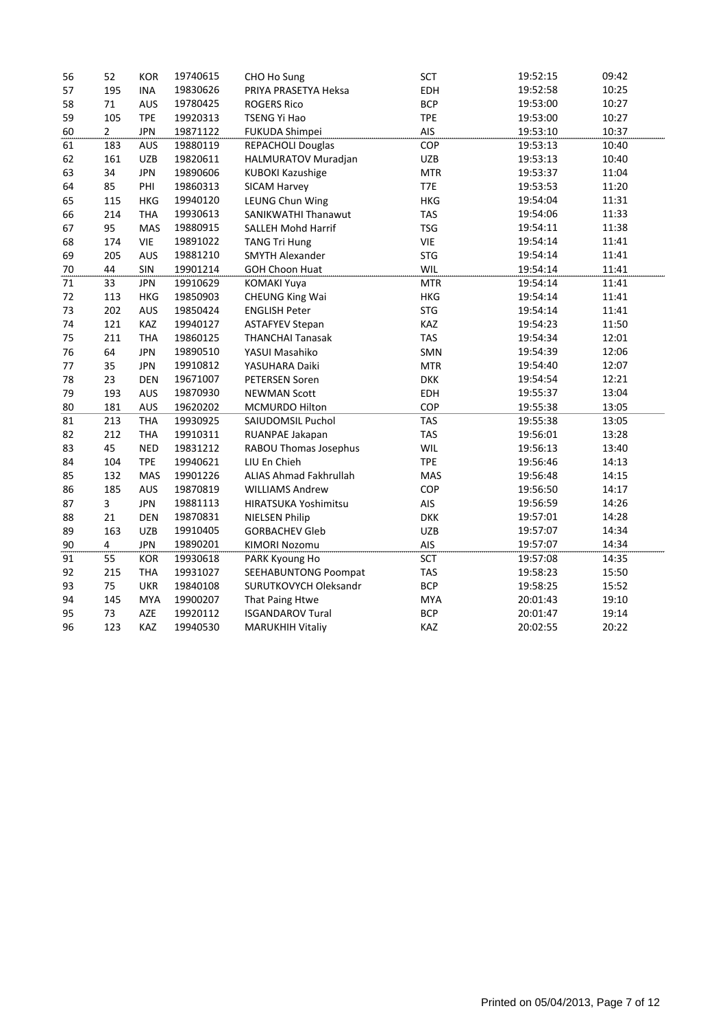| 56 | 52                      | <b>KOR</b> | 19740615 | CHO Ho Sung             | SCT        | 19:52:15 | 09:42 |
|----|-------------------------|------------|----------|-------------------------|------------|----------|-------|
| 57 | 195                     | <b>INA</b> | 19830626 | PRIYA PRASETYA Heksa    | EDH        | 19:52:58 | 10:25 |
| 58 | 71                      | AUS        | 19780425 | <b>ROGERS Rico</b>      | <b>BCP</b> | 19:53:00 | 10:27 |
| 59 | 105                     | <b>TPE</b> | 19920313 | <b>TSENG Yi Hao</b>     | <b>TPE</b> | 19:53:00 | 10:27 |
| 60 | $\overline{2}$          | <b>JPN</b> | 19871122 | FUKUDA Shimpei          | AIS        | 19:53:10 | 10:37 |
| 61 | 183                     | <b>AUS</b> | 19880119 | REPACHOLI Douglas       | COP        | 19:53:13 | 10:40 |
| 62 | 161                     | <b>UZB</b> | 19820611 | HALMURATOV Muradjan     | <b>UZB</b> | 19:53:13 | 10:40 |
| 63 | 34                      | <b>JPN</b> | 19890606 | <b>KUBOKI Kazushige</b> | <b>MTR</b> | 19:53:37 | 11:04 |
| 64 | 85                      | PHI        | 19860313 | SICAM Harvey            | T7E        | 19:53:53 | 11:20 |
| 65 | 115                     | <b>HKG</b> | 19940120 | LEUNG Chun Wing         | <b>HKG</b> | 19:54:04 | 11:31 |
| 66 | 214                     | <b>THA</b> | 19930613 | SANIKWATHI Thanawut     | <b>TAS</b> | 19:54:06 | 11:33 |
| 67 | 95                      | MAS        | 19880915 | SALLEH Mohd Harrif      | <b>TSG</b> | 19:54:11 | 11:38 |
| 68 | 174                     | VIE        | 19891022 | <b>TANG Tri Hung</b>    | VIE        | 19:54:14 | 11:41 |
| 69 | 205                     | <b>AUS</b> | 19881210 | <b>SMYTH Alexander</b>  | <b>STG</b> | 19:54:14 | 11:41 |
| 70 | 44                      | SIN        | 19901214 | <b>GOH Choon Huat</b>   | WIL        | 19:54:14 | 11:41 |
| 71 | 33                      | <b>JPN</b> | 19910629 | <b>KOMAKI Yuya</b>      | <b>MTR</b> | 19:54:14 | 11:41 |
| 72 | 113                     | <b>HKG</b> | 19850903 | <b>CHEUNG King Wai</b>  | <b>HKG</b> | 19:54:14 | 11:41 |
| 73 | 202                     | AUS        | 19850424 | <b>ENGLISH Peter</b>    | <b>STG</b> | 19:54:14 | 11:41 |
| 74 | 121                     | KAZ        | 19940127 | <b>ASTAFYEV Stepan</b>  | KAZ        | 19:54:23 | 11:50 |
| 75 | 211                     | <b>THA</b> | 19860125 | <b>THANCHAI Tanasak</b> | <b>TAS</b> | 19:54:34 | 12:01 |
| 76 | 64                      | <b>JPN</b> | 19890510 | YASUI Masahiko          | SMN        | 19:54:39 | 12:06 |
| 77 | 35                      | <b>JPN</b> | 19910812 | YASUHARA Daiki          | <b>MTR</b> | 19:54:40 | 12:07 |
| 78 | 23                      | <b>DEN</b> | 19671007 | <b>PETERSEN Soren</b>   | <b>DKK</b> | 19:54:54 | 12:21 |
| 79 | 193                     | AUS        | 19870930 | <b>NEWMAN Scott</b>     | EDH        | 19:55:37 | 13:04 |
| 80 | 181                     | AUS        | 19620202 | MCMURDO Hilton          | COP        | 19:55:38 | 13:05 |
| 81 | 213                     | <b>THA</b> | 19930925 | SAIUDOMSIL Puchol       | <b>TAS</b> | 19:55:38 | 13:05 |
| 82 | 212                     | <b>THA</b> | 19910311 | RUANPAE Jakapan         | <b>TAS</b> | 19:56:01 | 13:28 |
| 83 | 45                      | <b>NED</b> | 19831212 | RABOU Thomas Josephus   | WIL        | 19:56:13 | 13:40 |
| 84 | 104                     | <b>TPE</b> | 19940621 | LIU En Chieh            | <b>TPE</b> | 19:56:46 | 14:13 |
| 85 | 132                     | MAS        | 19901226 | ALIAS Ahmad Fakhrullah  | MAS        | 19:56:48 | 14:15 |
| 86 | 185                     | AUS        | 19870819 | <b>WILLIAMS Andrew</b>  | COP        | 19:56:50 | 14:17 |
| 87 | $\overline{\mathbf{3}}$ | <b>JPN</b> | 19881113 | HIRATSUKA Yoshimitsu    | AIS        | 19:56:59 | 14:26 |
| 88 | 21                      | <b>DEN</b> | 19870831 | <b>NIELSEN Philip</b>   | <b>DKK</b> | 19:57:01 | 14:28 |
| 89 | 163                     | <b>UZB</b> | 19910405 | <b>GORBACHEV Gleb</b>   | <b>UZB</b> | 19:57:07 | 14:34 |
| 90 | 4                       | <b>JPN</b> | 19890201 | <b>KIMORI Nozomu</b>    | AIS        | 19:57:07 | 14:34 |
| 91 | 55                      | <b>KOR</b> | 19930618 | PARK Kyoung Ho          | SCT        | 19:57:08 | 14:35 |
| 92 | 215                     | <b>THA</b> | 19931027 | SEEHABUNTONG Poompat    | <b>TAS</b> | 19:58:23 | 15:50 |
| 93 | 75                      | <b>UKR</b> | 19840108 | SURUTKOVYCH Oleksandr   | <b>BCP</b> | 19:58:25 | 15:52 |
| 94 | 145                     | <b>MYA</b> | 19900207 | That Paing Htwe         | <b>MYA</b> | 20:01:43 | 19:10 |
| 95 | 73                      | AZE        | 19920112 | <b>ISGANDAROV Tural</b> | <b>BCP</b> | 20:01:47 | 19:14 |
| 96 | 123                     | KAZ        | 19940530 | <b>MARUKHIH Vitaliy</b> | KAZ        | 20:02:55 | 20:22 |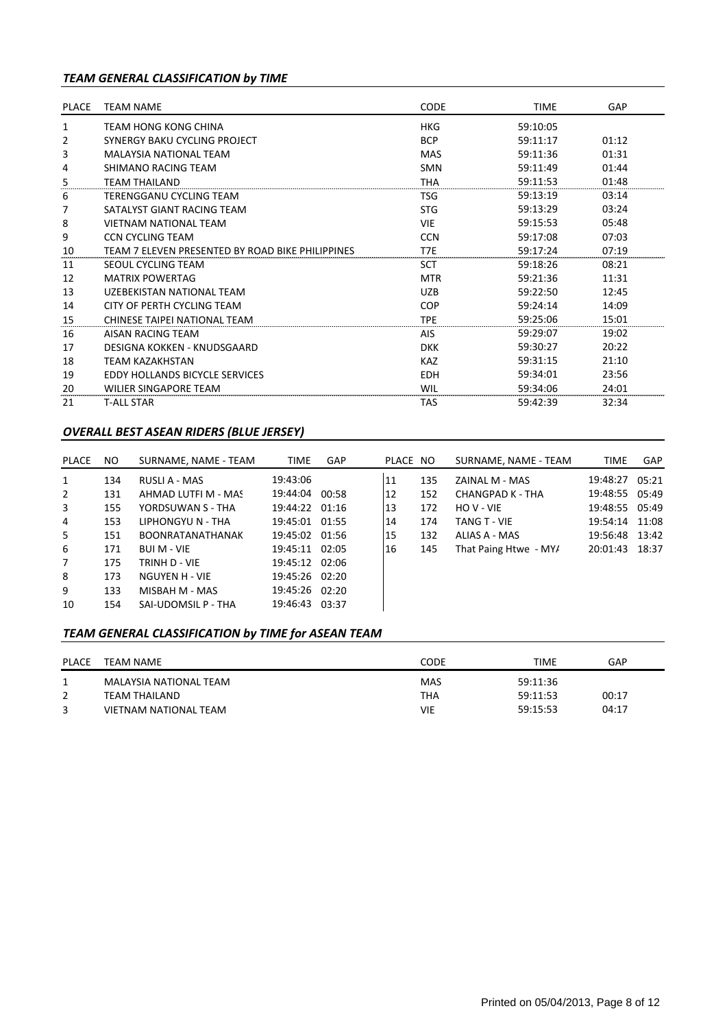# *TEAM GENERAL CLASSIFICATION by TIME*

| PLACE | <b>TEAM NAME</b>                                 | <b>CODE</b> | <b>TIME</b> | GAP   |
|-------|--------------------------------------------------|-------------|-------------|-------|
| 1     | TEAM HONG KONG CHINA                             | HKG         | 59:10:05    |       |
| 2     | SYNERGY BAKU CYCLING PROJECT                     | <b>BCP</b>  | 59:11:17    | 01:12 |
| 3     | <b>MALAYSIA NATIONAL TEAM</b>                    | MAS         | 59:11:36    | 01:31 |
| 4     | SHIMANO RACING TEAM                              | <b>SMN</b>  | 59:11:49    | 01:44 |
| 5     | <b>TEAM THAILAND</b>                             | THA         | 59:11:53    | 01:48 |
| 6     | TERENGGANU CYCLING TEAM                          | <b>TSG</b>  | 59:13:19    | 03:14 |
| 7     | SATALYST GIANT RACING TEAM                       | <b>STG</b>  | 59:13:29    | 03:24 |
| 8     | <b>VIETNAM NATIONAL TEAM</b>                     | <b>VIE</b>  | 59:15:53    | 05:48 |
| 9     | <b>CCN CYCLING TEAM</b>                          | <b>CCN</b>  | 59:17:08    | 07:03 |
| 10    | TEAM 7 ELEVEN PRESENTED BY ROAD BIKE PHILIPPINES | T7E         | 59:17:24    | 07:19 |
| 11    | SEOUL CYCLING TEAM                               | SCT         | 59:18:26    | 08:21 |
| 12    | <b>MATRIX POWERTAG</b>                           | <b>MTR</b>  | 59:21:36    | 11:31 |
| 13    | UZEBEKISTAN NATIONAL TEAM                        | <b>UZB</b>  | 59:22:50    | 12:45 |
| 14    | CITY OF PERTH CYCLING TEAM                       | <b>COP</b>  | 59:24:14    | 14:09 |
| 15    | CHINESE TAIPEI NATIONAL TEAM                     | <b>TPE</b>  | 59:25:06    | 15:01 |
| 16    | AISAN RACING TEAM                                | <b>AIS</b>  | 59:29:07    | 19:02 |
| 17    | DESIGNA KOKKEN - KNUDSGAARD                      | <b>DKK</b>  | 59:30:27    | 20:22 |
| 18    | <b>TEAM KAZAKHSTAN</b>                           | <b>KAZ</b>  | 59:31:15    | 21:10 |
| 19    | <b>EDDY HOLLANDS BICYCLE SERVICES</b>            | <b>EDH</b>  | 59:34:01    | 23:56 |
| 20    | WILIER SINGAPORE TEAM                            | WIL         | 59:34:06    | 24:01 |
| 21    | <b>T-ALL STAR</b>                                | <b>TAS</b>  | 59:42:39    | 32:34 |

## *OVERALL BEST ASEAN RIDERS (BLUE JERSEY)*

| PLACE          | NO. | SURNAME, NAME - TEAM    | <b>TIME</b>    | <b>GAP</b> | PLACE NO |     | SURNAME, NAME - TEAM  | <b>TIME</b>    | <b>GAP</b> |
|----------------|-----|-------------------------|----------------|------------|----------|-----|-----------------------|----------------|------------|
| 1              | 134 | RUSLI A - MAS           | 19:43:06       |            | 11       | 135 | ZAINAL M - MAS        | 19:48:27 05:21 |            |
| $\overline{2}$ | 131 | AHMAD LUTFI M - MAS     | 19:44:04 00:58 |            | 12       | 152 | CHANGPAD K - THA      | 19:48:55 05:49 |            |
| 3              | 155 | YORDSUWAN S - THA       | 19:44:22 01:16 |            | 13       | 172 | HOV-VIE               | 19:48:55 05:49 |            |
| 4              | 153 | LIPHONGYU N - THA       | 19:45:01 01:55 |            | 14       | 174 | TANG T - VIE          | 19:54:14 11:08 |            |
| 5              | 151 | <b>BOONRATANATHANAK</b> | 19:45:02 01:56 |            | 15       | 132 | ALIAS A - MAS         | 19:56:48 13:42 |            |
| 6              | 171 | <b>BUI M - VIE</b>      | 19:45:11 02:05 |            | 16       | 145 | That Paing Htwe - MY/ | 20:01:43 18:37 |            |
| $\overline{7}$ | 175 | TRINH D - VIE           | 19:45:12 02:06 |            |          |     |                       |                |            |
| 8              | 173 | NGUYEN H - VIE          | 19:45:26 02:20 |            |          |     |                       |                |            |
| 9              | 133 | MISBAH M - MAS          | 19:45:26 02:20 |            |          |     |                       |                |            |
| 10             | 154 | SAI-UDOMSIL P - THA     | 19:46:43 03:37 |            |          |     |                       |                |            |

# *TEAM GENERAL CLASSIFICATION by TIME for ASEAN TEAM*

| <b>PLACE</b> | TEAM NAME              | CODE       | TIME     | GAP   |
|--------------|------------------------|------------|----------|-------|
|              | MALAYSIA NATIONAL TEAM | <b>MAS</b> | 59:11:36 |       |
|              | TEAM THAILAND          | <b>THA</b> | 59:11:53 | 00:17 |
|              | VIETNAM NATIONAL TEAM  | VIE        | 59:15:53 | 04:17 |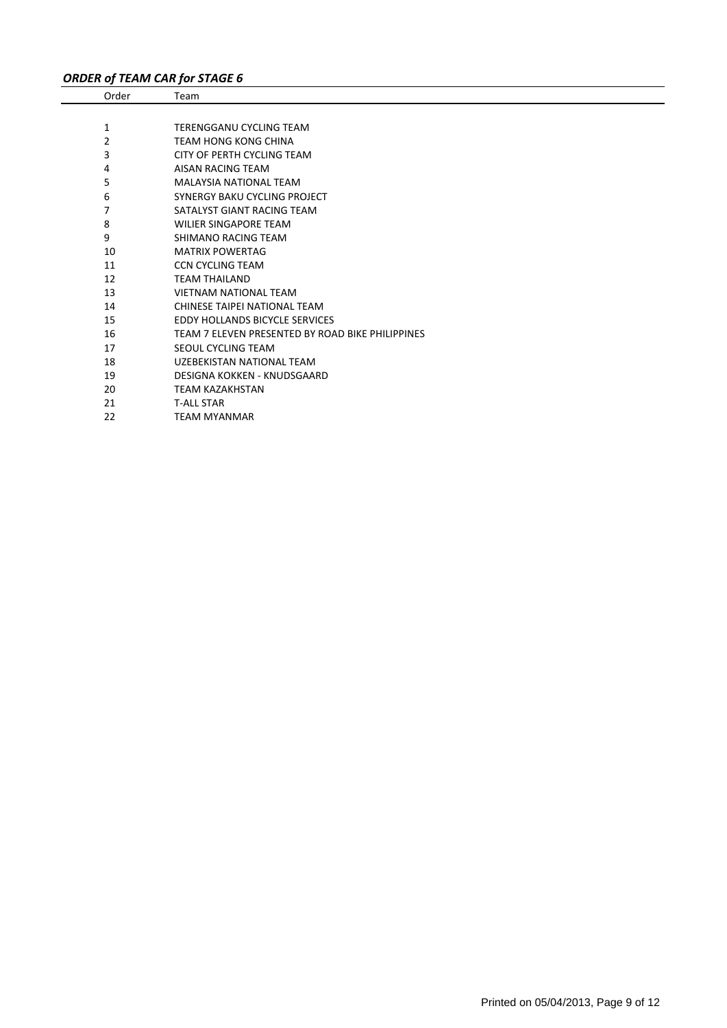# *ORDER of TEAM CAR for STAGE 6*

| Order | Team                                             |
|-------|--------------------------------------------------|
|       |                                                  |
| 1     | TERENGGANU CYCLING TEAM                          |
| 2     | TEAM HONG KONG CHINA                             |
| 3     | CITY OF PERTH CYCLING TEAM                       |
| 4     | AISAN RACING TEAM                                |
| 5     | <b>MALAYSIA NATIONAL TEAM</b>                    |
| 6     | <b>SYNERGY BAKU CYCLING PROJECT</b>              |
| 7     | SATALYST GIANT RACING TEAM                       |
| 8     | <b>WILIER SINGAPORE TEAM</b>                     |
| 9     | SHIMANO RACING TEAM                              |
| 10    | <b>MATRIX POWERTAG</b>                           |
| 11    | <b>CCN CYCLING TEAM</b>                          |
| 12    | <b>TEAM THAILAND</b>                             |
| 13    | <b>VIETNAM NATIONAL TEAM</b>                     |
| 14    | CHINESE TAIPEI NATIONAL TEAM                     |
| 15    | <b>EDDY HOLLANDS BICYCLE SERVICES</b>            |
| 16    | TEAM 7 ELEVEN PRESENTED BY ROAD BIKE PHILIPPINES |
| 17    | SEOUL CYCLING TEAM                               |
| 18    | UZEBEKISTAN NATIONAL TEAM                        |
| 19    | DESIGNA KOKKEN - KNUDSGAARD                      |
| 20    | <b>TEAM KAZAKHSTAN</b>                           |
| 21    | <b>T-ALL STAR</b>                                |
| 22    | <b>TEAM MYANMAR</b>                              |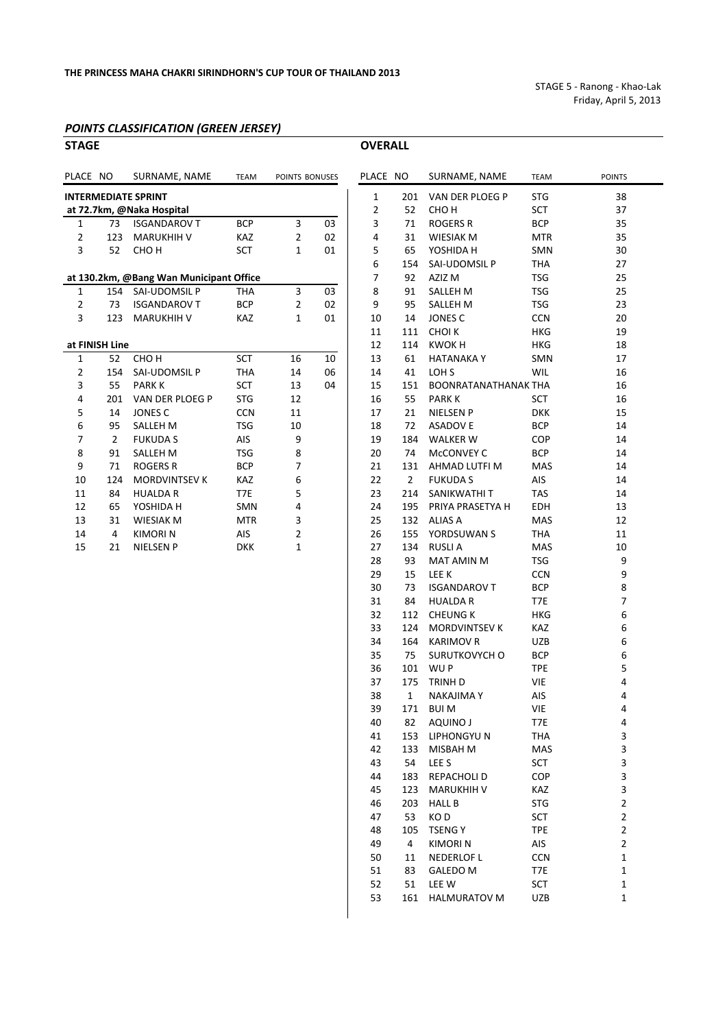STAGE 5 ‐ Ranong ‐ Khao‐Lak Friday, April 5, 2013

#### *POINTS CLASSIFICATION (GREEN JERSEY)*

| <b>STAGE</b>               |                |                                         |             |                | <b>OVERALL</b> |                |                 |                             |             |        |
|----------------------------|----------------|-----------------------------------------|-------------|----------------|----------------|----------------|-----------------|-----------------------------|-------------|--------|
| PLACE NO                   |                | SURNAME, NAME                           | <b>TEAM</b> | POINTS BONUSES |                | PLACE NO       |                 | SURNAME, NAME               | <b>TEAM</b> | POINTS |
| <b>INTERMEDIATE SPRINT</b> |                |                                         |             |                | 1              | 201            | VAN DER PLOEG P | <b>STG</b>                  | 38          |        |
|                            |                | at 72.7km, @Naka Hospital               |             |                |                | 2              | 52              | CHO <sub>H</sub>            | <b>SCT</b>  | 37     |
| 1                          | 73             | <b>ISGANDAROV T</b>                     | <b>BCP</b>  | 3              | 03             | 3              | 71              | <b>ROGERS R</b>             | <b>BCP</b>  | 35     |
| 2                          | 123            | <b>MARUKHIH V</b>                       | <b>KAZ</b>  | $\overline{2}$ | 02             | 4              | 31              | <b>WIESIAK M</b>            | <b>MTR</b>  | 35     |
| 3                          | 52             | CHO <sub>H</sub>                        | <b>SCT</b>  | 1              | 01             | 5              | 65              | YOSHIDA H                   | SMN         | 30     |
|                            |                |                                         |             |                |                | 6              | 154             | SAI-UDOMSIL P               | <b>THA</b>  | 27     |
|                            |                | at 130.2km, @Bang Wan Municipant Office |             |                |                | $\overline{7}$ | 92              | AZIZ M                      | <b>TSG</b>  | 25     |
| 1                          | 154            | SAI-UDOMSIL P                           | <b>THA</b>  | 3              | 03             | 8              | 91              | <b>SALLEH M</b>             | <b>TSG</b>  | 25     |
| 2                          | 73             | <b>ISGANDAROV T</b>                     | <b>BCP</b>  | $\overline{2}$ | 02             | 9              | 95              | <b>SALLEH M</b>             | <b>TSG</b>  | 23     |
| 3                          | 123            | <b>MARUKHIH V</b>                       | KAZ         | 1              | 01             | 10             | 14              | JONES C                     | <b>CCN</b>  | 20     |
|                            |                |                                         |             |                |                | 11             | 111             | <b>CHOIK</b>                | <b>HKG</b>  | 19     |
|                            | at FINISH Line |                                         |             |                |                | 12             | 114             | <b>KWOKH</b>                | <b>HKG</b>  | 18     |
| $\mathbf{1}$               | 52             | CHO <sub>H</sub>                        | <b>SCT</b>  | 16             | 10             | 13             | 61              | <b>HATANAKAY</b>            | <b>SMN</b>  | 17     |
| 2                          | 154            | SAI-UDOMSIL P                           | <b>THA</b>  | 14             | 06             | 14             | 41              | LOH <sub>S</sub>            | <b>WIL</b>  | 16     |
| 3                          | 55             | <b>PARKK</b>                            | <b>SCT</b>  | 13             | 04             | 15             | 151             | <b>BOONRATANATHANAK THA</b> |             | 16     |
| 4                          | 201            | VAN DER PLOEG P                         | <b>STG</b>  | 12             |                | 16             | 55              | <b>PARK K</b>               | <b>SCT</b>  | 16     |
| 5                          | 14             | <b>JONES C</b>                          | <b>CCN</b>  | 11             |                | 17             | 21              | <b>NIELSEN P</b>            | <b>DKK</b>  | 15     |
| 6                          | 95             | <b>SALLEH M</b>                         | <b>TSG</b>  | 10             |                | 18             | 72              | <b>ASADOVE</b>              | <b>BCP</b>  | 14     |
| 7                          | 2              | <b>FUKUDA S</b>                         | <b>AIS</b>  | 9              |                | 19             | 184             | <b>WALKER W</b>             | COP         | 14     |
| 8                          | 91             | <b>SALLEH M</b>                         | <b>TSG</b>  | 8              |                | 20             | 74              | MCCONVEY C                  | <b>BCP</b>  | 14     |
| 9                          | 71             | <b>ROGERS R</b>                         | <b>BCP</b>  | 7              |                | 21             | 131             | AHMAD LUTFI M               | <b>MAS</b>  | 14     |
| 10                         | 124            | <b>MORDVINTSEV K</b>                    | <b>KAZ</b>  | 6              |                | 22             | $\overline{2}$  | <b>FUKUDA S</b>             | <b>AIS</b>  | 14     |
| 11                         | 84             | <b>HUALDA R</b>                         | T7E         | 5              |                | 23             | 214             | SANIKWATHI T                | <b>TAS</b>  | 14     |
| 12                         | 65             | YOSHIDA H                               | <b>SMN</b>  | 4              |                | 24             | 195             | PRIYA PRASETYA H            | <b>EDH</b>  | 13     |
| 13                         | 31             | <b>WIESIAK M</b>                        | <b>MTR</b>  | 3              |                | 25             | 132             | <b>ALIAS A</b>              | MAS         | 12     |
| 14                         | 4              | <b>KIMORIN</b>                          | AIS         | 2              |                | 26             | 155             | YORDSUWAN S                 | <b>THA</b>  | 11     |
| 15                         | 21             | <b>NIELSEN P</b>                        | <b>DKK</b>  | 1              |                | 27             | 134             | <b>RUSLIA</b>               | <b>MAS</b>  | 10     |

| LACE NO |     | SURNAME, NAME        | TEAM       | <b>POINTS</b>           |
|---------|-----|----------------------|------------|-------------------------|
| 1       | 201 | VAN DER PLOEG P      | <b>STG</b> | 38                      |
| 2       | 52  | сно н                | SCT.       | 37                      |
| 3       | 71  | ROGERS R             | <b>BCP</b> | 35                      |
| 4       | 31  | WIESIAK M            | MTR        | 35                      |
| 5       | 65  | YOSHIDA H            | SMN        | 30                      |
| 6       | 154 | SAI-UDOMSIL P        | THA        | 27                      |
| 7       | 92  | AZIZ M               | <b>TSG</b> | 25                      |
| 8       | 91  | SALLEH M             | <b>TSG</b> | 25                      |
| 9       | 95  | SALLEH M             | <b>TSG</b> | 23                      |
| 10      | 14  | JONES C              | <b>CCN</b> | 20                      |
| 11      | 111 | CHOI K               | <b>HKG</b> | 19                      |
| 12      | 114 | KWOK H               | HKG        | 18                      |
| 13      | 61  | HATANAKA Y           | SMN        | 17                      |
| 14      | 41  | LOH <sub>S</sub>     | <b>WIL</b> | 16                      |
| 15      | 151 | BOONRATANATHANAK THA |            | 16                      |
| 16      | 55  | <b>PARK K</b>        | SCT        | 16                      |
| 17      | 21  | NIELSEN P            | <b>DKK</b> | 15                      |
| 18      | 72  | ASADOV E             | <b>BCP</b> | 14                      |
| 19      | 184 | <b>WALKER W</b>      | <b>COP</b> | 14                      |
| 20      | 74  | McCONVEY C           | BCP        | 14                      |
| 21      | 131 | AHMAD LUTFI M        | MAS        | 14                      |
| 22      | 2   | <b>FUKUDAS</b>       | AIS        | 14                      |
| 23      | 214 | SANIKWATHI T         | <b>TAS</b> | 14                      |
| 24      | 195 | PRIYA PRASETYA H     | EDH        | 13                      |
| 25      |     | 132 ALIAS A          | MAS        | 12                      |
| 26      | 155 | YORDSUWAN S          | <b>THA</b> | 11                      |
| 27      | 134 | <b>RUSLIA</b>        | <b>MAS</b> | 10                      |
| 28      | 93  | MAT AMIN M           | <b>TSG</b> | 9                       |
| 29      | 15  | LEE K                | <b>CCN</b> | 9                       |
| 30      | 73  | <b>ISGANDAROV T</b>  | BCP        | 8                       |
| 31      | 84  | <b>HUALDA R</b>      | T7E        | 7                       |
| 32      | 112 | <b>CHEUNG K</b>      | HKG        | 6                       |
| 33      | 124 | <b>MORDVINTSEV K</b> | KAZ        | 6                       |
| 34      | 164 | <b>KARIMOV R</b>     | UZB        | 6                       |
| 35      | 75  | SURUTKOVYCH O        | BCP        | 6                       |
| 36      | 101 | WU P                 | <b>TPE</b> | 5                       |
| 37      | 175 | TRINH D              | <b>VIE</b> | 4                       |
| 38      | 1   | NAKAJIMA Y           | AIS        | 4                       |
| 39      |     | 171 BUI M            | VIE        | 4                       |
| 40      | 82  | <b>AQUINO J</b>      | T7E        | 4                       |
| 41      | 153 | LIPHONGYU N          | THA        | 3                       |
| 42      | 133 | MISBAH M             | MAS        | 3                       |
| 43      | 54  | LEE S                | SCT        | 3                       |
| 44      | 183 | REPACHOLI D          | <b>COP</b> | 3                       |
| 45      | 123 | <b>MARUKHIH V</b>    | KAZ        | 3                       |
| 46      | 203 | <b>HALL B</b>        | <b>STG</b> | $\overline{2}$          |
| 47      | 53  | KO D                 | <b>SCT</b> | $\overline{2}$          |
| 48      | 105 | <b>TSENGY</b>        | <b>TPE</b> | $\overline{\mathbf{c}}$ |
| 49      | 4   | <b>KIMORI N</b>      | AIS        | $\overline{2}$          |
| 50      | 11  | <b>NEDERLOF L</b>    | <b>CCN</b> | $\mathbf{1}$            |
| 51      | 83  | GALEDO M             | T7E        | 1                       |
| 52      | 51  | LEE W                | SCT        | $\mathbf 1$             |
| 53      | 161 | <b>HALMURATOV M</b>  | UZB        | 1                       |
|         |     |                      |            |                         |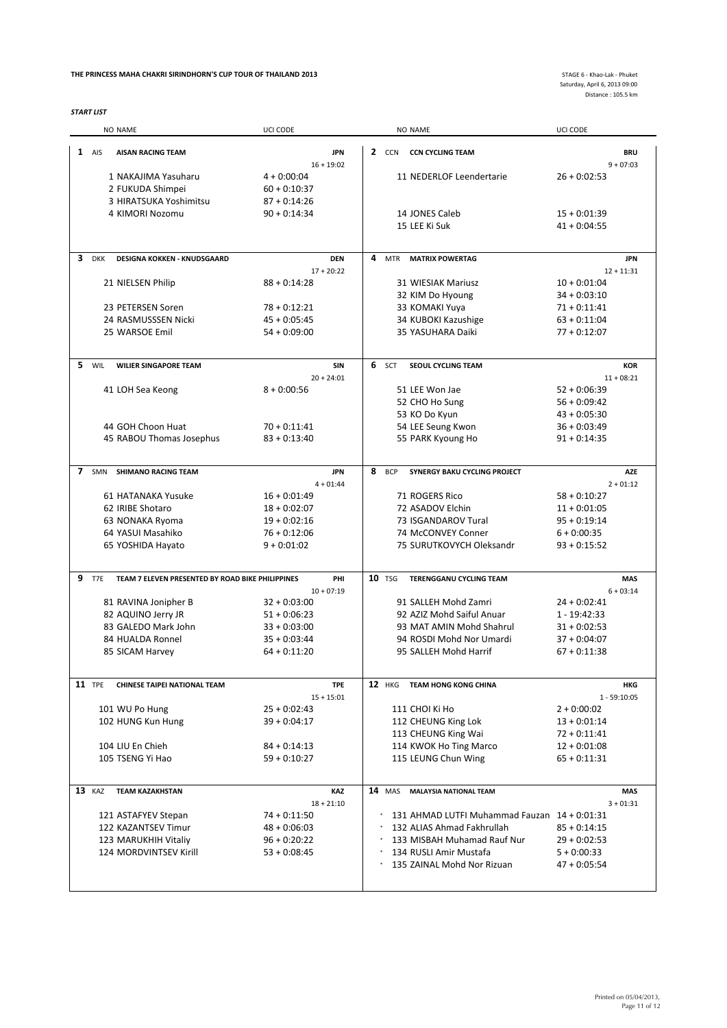#### **THE PRINCESS MAHA CHAKRI SIRINDHORN'S CUP TOUR OF THAILAND 2013** STAGE 6 ‐ Khao‐Lak ‐ Phuket

*START LIST*

Saturday, April 6, 2013 09:00 Distance : 105.5 km

|                |               | NO NAME                                          | UCI CODE                   |   |               | NO NAME                                      | UCI CODE                  |
|----------------|---------------|--------------------------------------------------|----------------------------|---|---------------|----------------------------------------------|---------------------------|
|                | $1$ AIS       | <b>AISAN RACING TEAM</b>                         | <b>JPN</b><br>$16 + 19:02$ |   |               | 2 CCN CCN CYCLING TEAM                       | <b>BRU</b><br>$9 + 07:03$ |
|                |               | 1 NAKAJIMA Yasuharu                              | $4 + 0:00:04$              |   |               | 11 NEDERLOF Leendertarie                     | $26 + 0:02:53$            |
|                |               | 2 FUKUDA Shimpei                                 | $60 + 0:10:37$             |   |               |                                              |                           |
|                |               |                                                  |                            |   |               |                                              |                           |
|                |               | 3 HIRATSUKA Yoshimitsu                           | $87 + 0:14:26$             |   |               |                                              |                           |
|                |               | 4 KIMORI Nozomu                                  | $90 + 0:14:34$             |   |               | 14 JONES Caleb                               | $15 + 0.01:39$            |
|                |               |                                                  |                            |   |               | 15 LEE Ki Suk                                | $41 + 0.04:55$            |
| 3              | <b>DKK</b>    | <b>DESIGNA KOKKEN - KNUDSGAARD</b>               | <b>DEN</b>                 | 4 | <b>MTR</b>    | <b>MATRIX POWERTAG</b>                       | <b>JPN</b>                |
|                |               |                                                  | $17 + 20:22$               |   |               |                                              | $12 + 11:31$              |
|                |               | 21 NIELSEN Philip                                | $88 + 0.14.28$             |   |               | 31 WIESIAK Mariusz                           | $10 + 0:01:04$            |
|                |               |                                                  |                            |   |               | 32 KIM Do Hyoung                             | $34 + 0.03:10$            |
|                |               |                                                  |                            |   |               |                                              |                           |
|                |               | 23 PETERSEN Soren                                | $78 + 0:12:21$             |   |               | 33 KOMAKI Yuya                               | $71 + 0:11:41$            |
|                |               | 24 RASMUSSSEN Nicki                              | $45 + 0.05:45$             |   |               | 34 KUBOKI Kazushige                          | $63 + 0.11:04$            |
|                |               | 25 WARSOE Emil                                   | $54 + 0.09:00$             |   |               | 35 YASUHARA Daiki                            | $77 + 0.12:07$            |
| 5.             | WIL           | <b>WILIER SINGAPORE TEAM</b>                     | SIN                        | 6 | SCT           | <b>SEOUL CYCLING TEAM</b>                    | <b>KOR</b>                |
|                |               |                                                  | $20 + 24:01$               |   |               |                                              | $11 + 08:21$              |
|                |               |                                                  |                            |   |               | 51 LEE Won Jae                               |                           |
|                |               | 41 LOH Sea Keong                                 | $8 + 0:00:56$              |   |               |                                              | $52 + 0.06:39$            |
|                |               |                                                  |                            |   |               | 52 CHO Ho Sung                               | $56 + 0.09:42$            |
|                |               |                                                  |                            |   |               | 53 KO Do Kyun                                | $43 + 0.05:30$            |
|                |               | 44 GOH Choon Huat                                | $70 + 0.11:41$             |   |               | 54 LEE Seung Kwon                            | $36 + 0.03:49$            |
|                |               | 45 RABOU Thomas Josephus                         | $83 + 0:13:40$             |   |               | 55 PARK Kyoung Ho                            | $91 + 0:14:35$            |
|                |               |                                                  |                            |   |               |                                              |                           |
| $\overline{ }$ | SMN           | <b>SHIMANO RACING TEAM</b>                       | <b>JPN</b>                 | 8 | <b>BCP</b>    | SYNERGY BAKU CYCLING PROJECT                 | <b>AZE</b>                |
|                |               |                                                  | $4 + 01:44$                |   |               |                                              | $2 + 01:12$               |
|                |               | 61 HATANAKA Yusuke                               | $16 + 0.01:49$             |   |               | 71 ROGERS Rico                               | $58 + 0:10:27$            |
|                |               | 62 IRIBE Shotaro                                 | $18 + 0.02:07$             |   |               | 72 ASADOV Elchin                             | $11 + 0.01:05$            |
|                |               | 63 NONAKA Ryoma                                  | $19 + 0.02:16$             |   |               | 73 ISGANDAROV Tural                          | $95 + 0:19:14$            |
|                |               | 64 YASUI Masahiko                                | $76 + 0.12:06$             |   |               | 74 McCONVEY Conner                           | $6 + 0:00:35$             |
|                |               | 65 YOSHIDA Hayato                                | $9 + 0:01:02$              |   |               | 75 SURUTKOVYCH Oleksandr                     | $93 + 0:15:52$            |
|                |               |                                                  |                            |   |               |                                              |                           |
| 9              | T7E           | TEAM 7 ELEVEN PRESENTED BY ROAD BIKE PHILIPPINES | PHI                        |   | 10 TSG        | <b>TERENGGANU CYCLING TEAM</b>               | <b>MAS</b>                |
|                |               |                                                  | $10 + 07:19$               |   |               |                                              | $6 + 03:14$               |
|                |               | 81 RAVINA Jonipher B                             | $32 + 0.03:00$             |   |               | 91 SALLEH Mohd Zamri                         | $24 + 0:02:41$            |
|                |               | 82 AQUINO Jerry JR                               | $51 + 0.06:23$             |   |               | 92 AZIZ Mohd Saiful Anuar                    | $1 - 19:42:33$            |
|                |               | 83 GALEDO Mark John                              | $33 + 0:03:00$             |   |               | 93 MAT AMIN Mohd Shahrul                     | $31 + 0.02:53$            |
|                |               | 84 HUALDA Ronnel                                 | $35 + 0:03:44$             |   |               | 94 ROSDI Mohd Nor Umardi                     | $37 + 0:04:07$            |
|                |               | 85 SICAM Harvey                                  | $64 + 0.11:20$             |   |               | 95 SALLEH Mohd Harrif                        | $67 + 0.11:38$            |
|                |               |                                                  |                            |   |               |                                              |                           |
|                | <b>11</b> TPE | <b>CHINESE TAIPEI NATIONAL TEAM</b>              | <b>TPE</b>                 |   |               | 12 HKG TEAM HONG KONG CHINA                  | <b>HKG</b>                |
|                |               |                                                  | $15 + 15:01$               |   |               |                                              | $1 - 59:10:05$            |
|                |               | 101 WU Po Hung                                   | $25 + 0:02:43$             |   |               | 111 CHOI Ki Ho                               | $2 + 0:00:02$             |
|                |               | 102 HUNG Kun Hung                                | $39 + 0:04:17$             |   |               | 112 CHEUNG King Lok                          | $13 + 0:01:14$            |
|                |               |                                                  |                            |   |               | 113 CHEUNG King Wai                          | $72 + 0.11:41$            |
|                |               |                                                  |                            |   |               |                                              | $12 + 0.01:08$            |
|                |               | 104 LIU En Chieh                                 | $84 + 0:14:13$             |   |               | 114 KWOK Ho Ting Marco                       |                           |
|                |               | 105 TSENG Yi Hao                                 | $59 + 0:10:27$             |   |               | 115 LEUNG Chun Wing                          | $65 + 0:11:31$            |
|                | 13 KAZ        | <b>TEAM KAZAKHSTAN</b>                           | KAZ                        |   | <b>14</b> MAS | <b>MALAYSIA NATIONAL TEAM</b>                | <b>MAS</b>                |
|                |               |                                                  | $18 + 21:10$               |   |               |                                              | $3 + 01:31$               |
|                |               | 121 ASTAFYEV Stepan                              | $74 + 0.11:50$             |   |               | 131 AHMAD LUTFI Muhammad Fauzan 14 + 0:01:31 |                           |
|                |               | 122 KAZANTSEV Timur                              | $48 + 0:06:03$             |   |               | 132 ALIAS Ahmad Fakhrullah                   | $85 + 0:14:15$            |
|                |               |                                                  |                            |   |               |                                              |                           |
|                |               | 123 MARUKHIH Vitaliy                             | $96 + 0:20:22$             |   |               | 133 MISBAH Muhamad Rauf Nur                  | $29 + 0:02:53$            |
|                |               | 124 MORDVINTSEV Kirill                           | $53 + 0:08:45$             |   |               | 134 RUSLI Amir Mustafa                       | $5 + 0:00:33$             |
|                |               |                                                  |                            |   |               | 135 ZAINAL Mohd Nor Rizuan                   | 47 + 0:05:54              |
|                |               |                                                  |                            |   |               |                                              |                           |